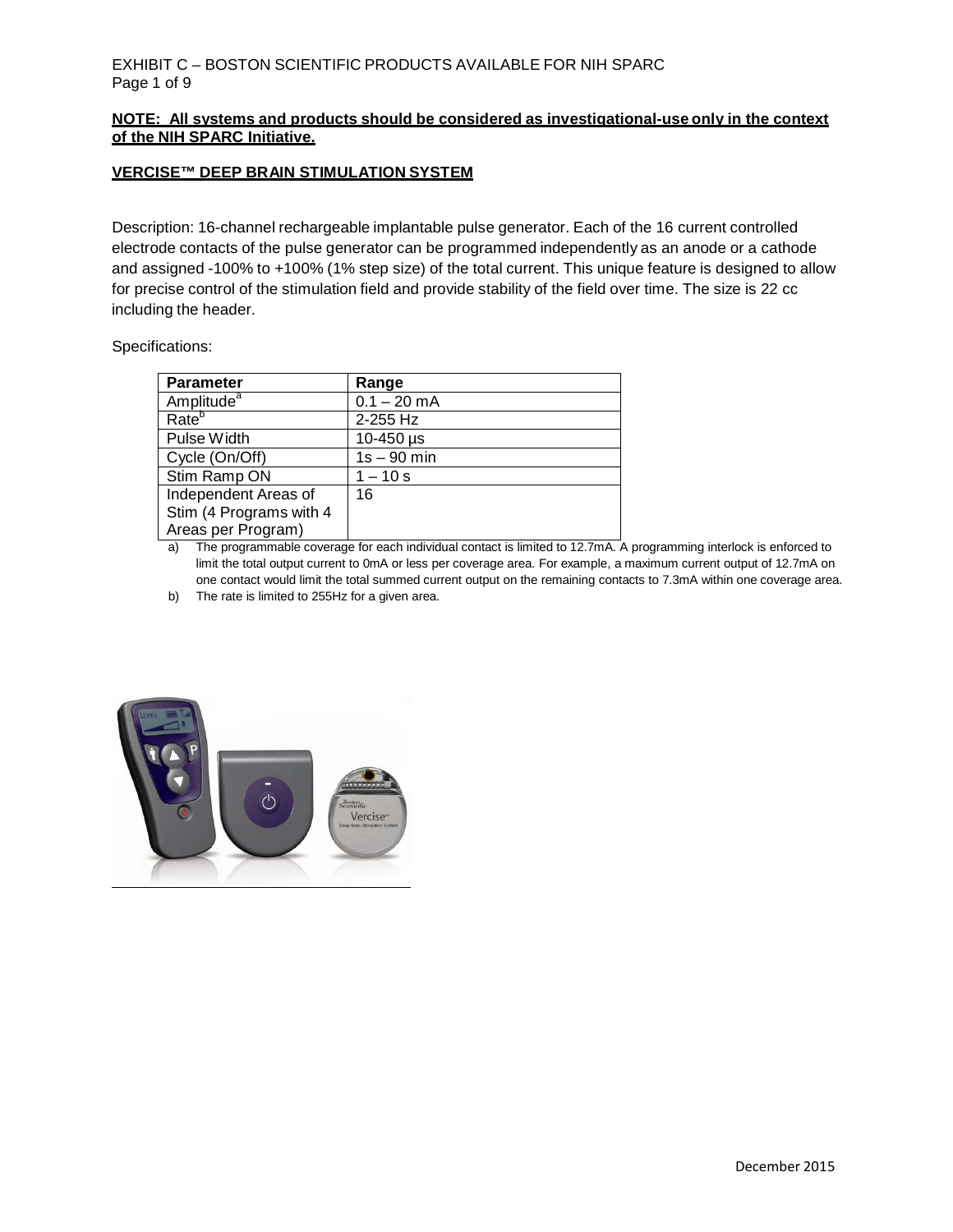## **NOTE: All systems and products should be considered as investigational-use only in the context of the NIH SPARC Initiative.**

#### **VERCISE™ DEEP BRAIN STIMULATION SYSTEM**

Description: 16-channel rechargeable implantable pulse generator. Each of the 16 current controlled electrode contacts of the pulse generator can be programmed independently as an anode or a cathode and assigned -100% to +100% (1% step size) of the total current. This unique feature is designed to allow for precise control of the stimulation field and provide stability of the field over time. The size is 22 cc including the header.

Specifications:

| <b>Parameter</b>        | Range         |
|-------------------------|---------------|
| Amplitude <sup>a</sup>  | $0.1 - 20$ mA |
| Rate <sup>b</sup>       | 2-255 Hz      |
| Pulse Width             | 10-450 µs     |
| Cycle (On/Off)          | $1s - 90$ min |
| Stim Ramp ON            | $1 - 10s$     |
| Independent Areas of    | 16            |
| Stim (4 Programs with 4 |               |
| Areas per Program)      |               |

a) The programmable coverage for each individual contact is limited to 12.7mA. A programming interlock is enforced to limit the total output current to 0mA or less per coverage area. For example, a maximum current output of 12.7mA on one contact would limit the total summed current output on the remaining contacts to 7.3mA within one coverage area.

b) The rate is limited to 255Hz for a given area.

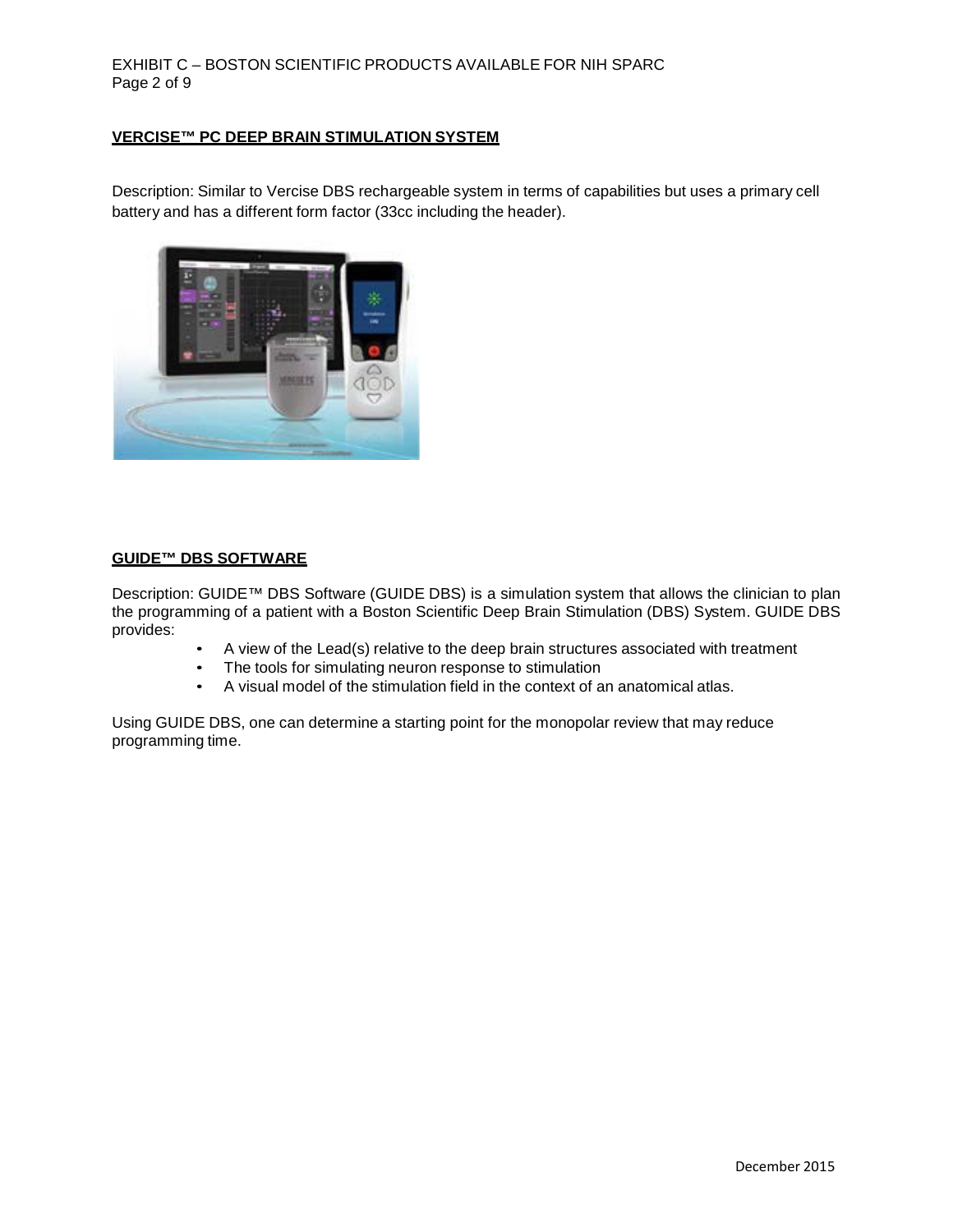## EXHIBIT C – BOSTON SCIENTIFIC PRODUCTS AVAILABLE FOR NIH SPARC Page 2 of 9

# **VERCISE™ PC DEEP BRAIN STIMULATION SYSTEM**

Description: Similar to Vercise DBS rechargeable system in terms of capabilities but uses a primary cell battery and has a different form factor (33cc including the header).



#### **GUIDE™ DBS SOFTWARE**

Description: GUIDE™ DBS Software (GUIDE DBS) is a simulation system that allows the clinician to plan the programming of a patient with a Boston Scientific Deep Brain Stimulation (DBS) System. GUIDE DBS provides:

- A view of the Lead(s) relative to the deep brain structures associated with treatment
- The tools for simulating neuron response to stimulation
- A visual model of the stimulation field in the context of an anatomical atlas.

Using GUIDE DBS, one can determine a starting point for the monopolar review that may reduce programming time.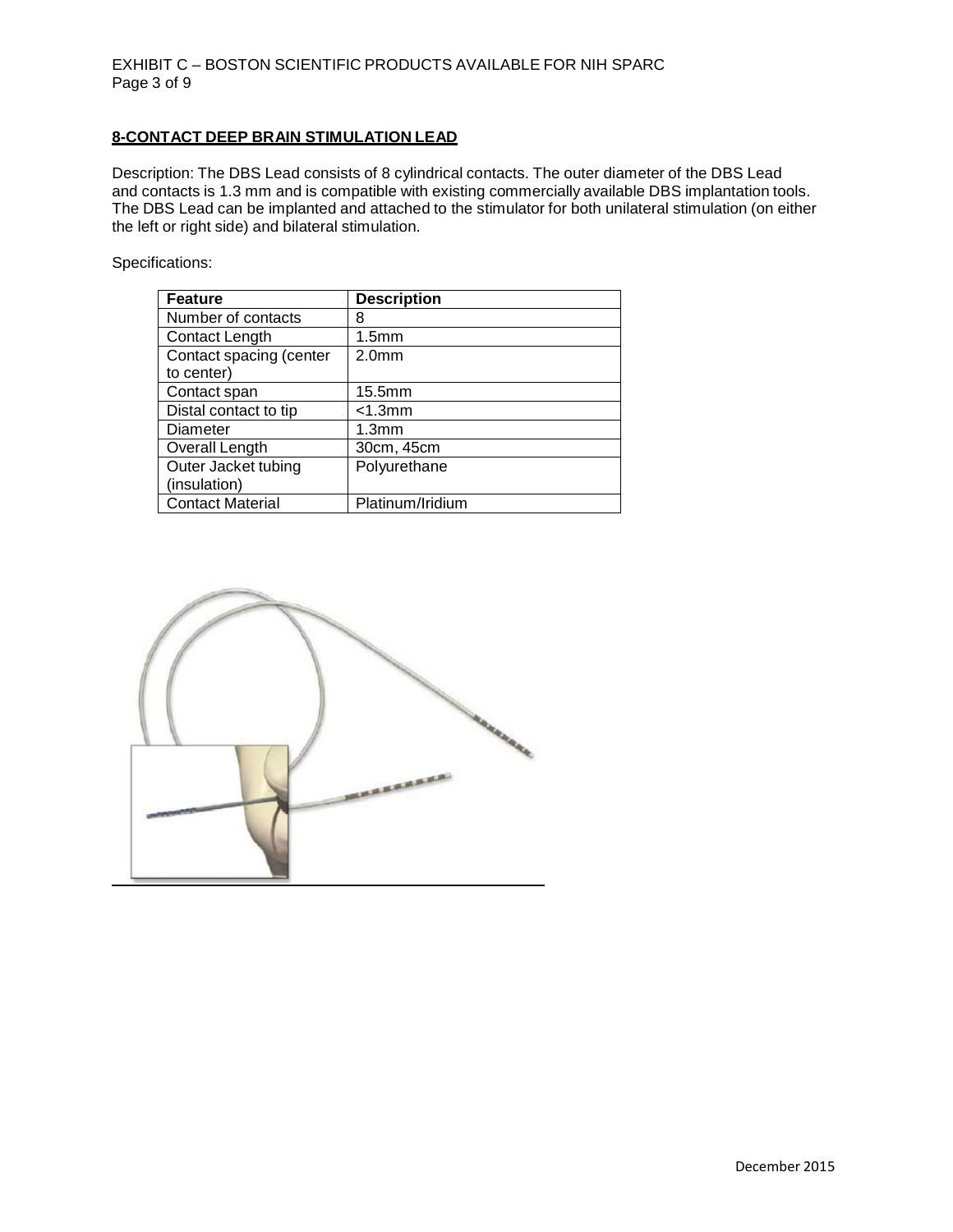## **8-CONTACT DEEP BRAIN STIMULATION LEAD**

Description: The DBS Lead consists of 8 cylindrical contacts. The outer diameter of the DBS Lead and contacts is 1.3 mm and is compatible with existing commercially available DBS implantation tools. The DBS Lead can be implanted and attached to the stimulator for both unilateral stimulation (on either the left or right side) and bilateral stimulation.

Specifications:

| <b>Feature</b>          | <b>Description</b> |
|-------------------------|--------------------|
| Number of contacts      | 8                  |
| Contact Length          | 1.5 <sub>mm</sub>  |
| Contact spacing (center | 2.0 <sub>mm</sub>  |
| to center)              |                    |
| Contact span            | 15.5 <sub>mm</sub> |
| Distal contact to tip   | $<$ 1.3 $mm$       |
| Diameter                | 1.3 <sub>mm</sub>  |
| Overall Length          | 30cm, 45cm         |
| Outer Jacket tubing     | Polyurethane       |
| (insulation)            |                    |
| <b>Contact Material</b> | Platinum/Iridium   |

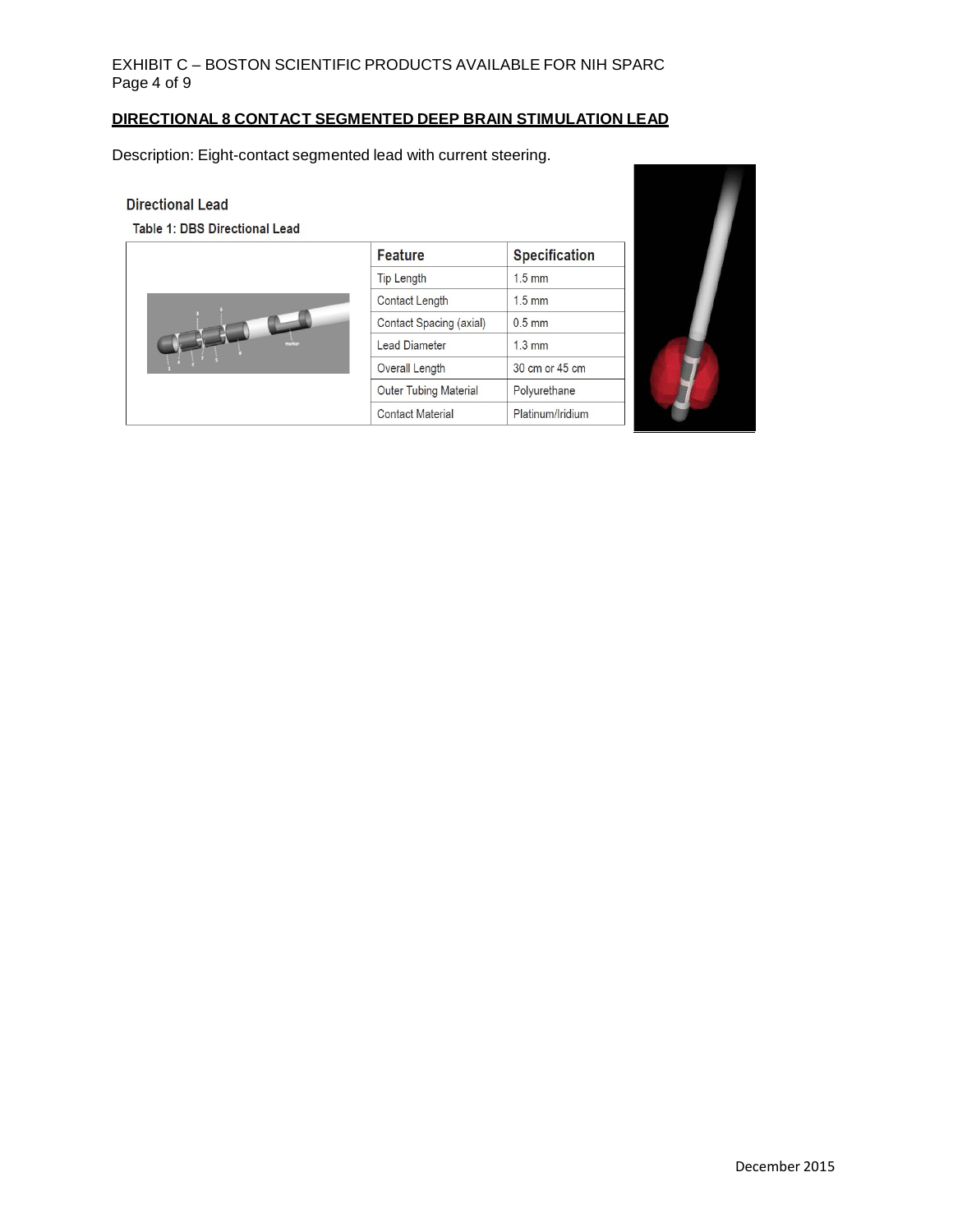# EXHIBIT C – BOSTON SCIENTIFIC PRODUCTS AVAILABLE FOR NIH SPARC Page 4 of 9

# **DIRECTIONAL 8 CONTACT SEGMENTED DEEP BRAIN STIMULATION LEAD**

Description: Eight-contact segmented lead with current steering.

#### **Directional Lead**

Table 1: DBS Directional Lead



| <b>Feature</b>               | <b>Specification</b> |
|------------------------------|----------------------|
| <b>Tip Length</b>            | $1.5$ mm             |
| Contact Length               | $1.5 \text{ mm}$     |
| Contact Spacing (axial)      | $0.5$ mm             |
| <b>Lead Diameter</b>         | $1.3 \text{ mm}$     |
| Overall Length               | 30 cm or 45 cm       |
| <b>Outer Tubing Material</b> | Polyurethane         |
| <b>Contact Material</b>      | Platinum/Iridium     |

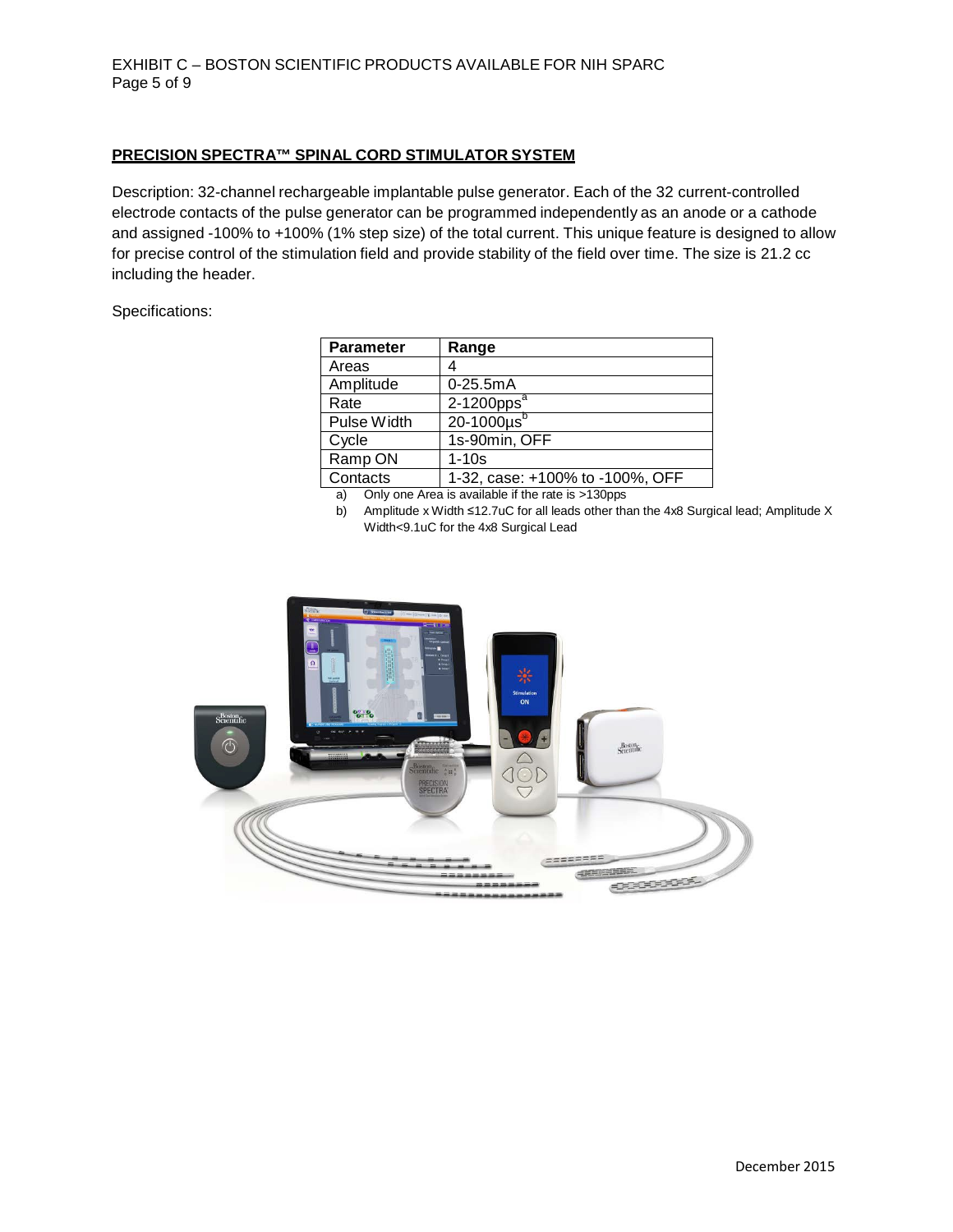#### **PRECISION SPECTRA™ SPINAL CORD STIMULATOR SYSTEM**

Description: 32-channel rechargeable implantable pulse generator. Each of the 32 current-controlled electrode contacts of the pulse generator can be programmed independently as an anode or a cathode and assigned -100% to +100% (1% step size) of the total current. This unique feature is designed to allow for precise control of the stimulation field and provide stability of the field over time. The size is 21.2 cc including the header.

## Specifications:

| <b>Parameter</b> | Range                           |
|------------------|---------------------------------|
| Areas            |                                 |
| Amplitude        | $0 - 25.5$ m $A$                |
| Rate             | $2-1200$ pps <sup>a</sup>       |
| Pulse Width      | $20-1000\mu s^b$                |
| Cycle            | 1s-90min, OFF                   |
| Ramp ON          | $1 - 10s$                       |
| Contacts         | 1-32, case: +100% to -100%, OFF |

a) Only one Area is available if the rate is >130pps

b) Amplitude x Width ≤12.7uC for all leads other than the 4x8 Surgical lead; Amplitude X Width<9.1uC for the 4x8 Surgical Lead

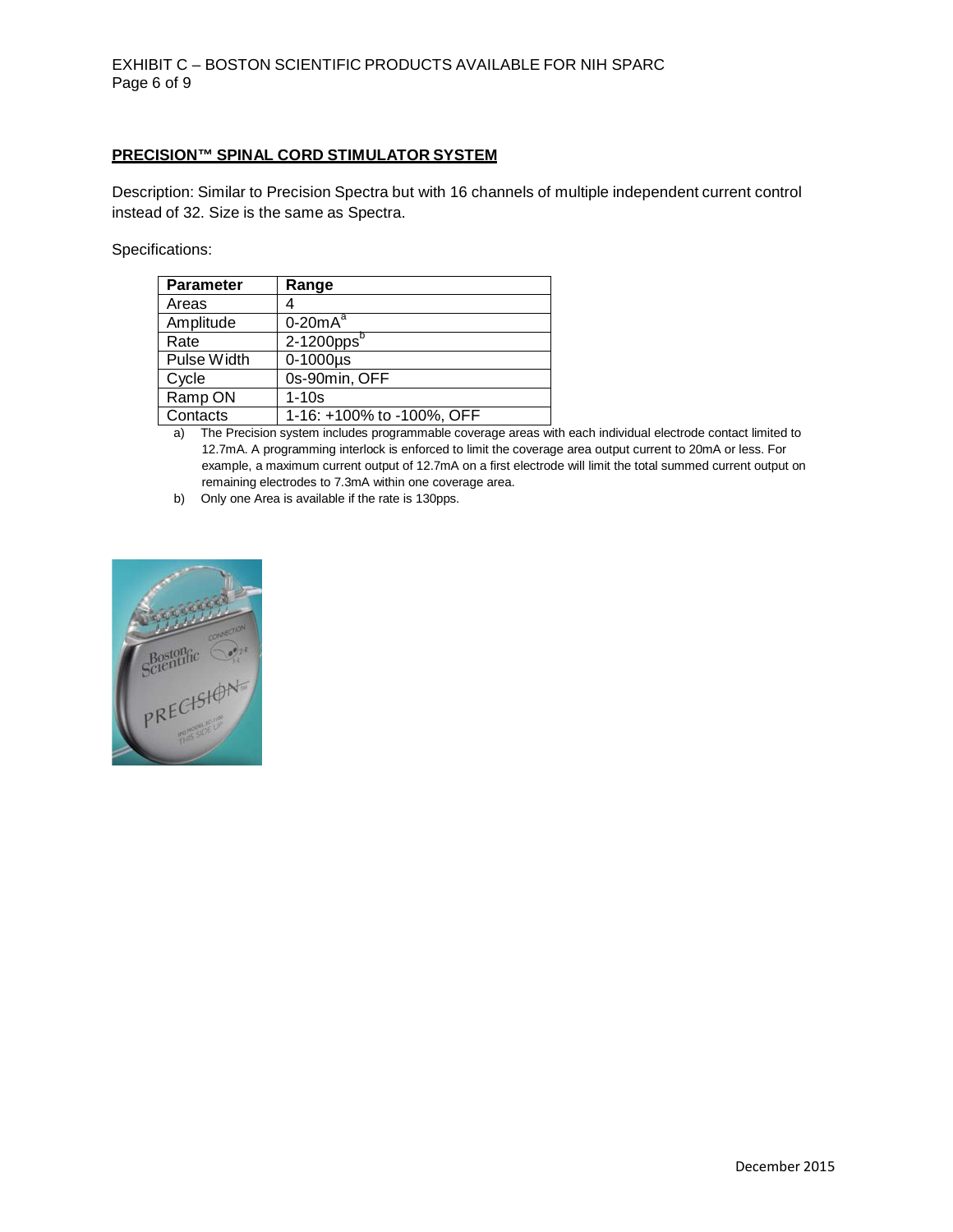#### **PRECISION™ SPINAL CORD STIMULATOR SYSTEM**

Description: Similar to Precision Spectra but with 16 channels of multiple independent current control instead of 32. Size is the same as Spectra.

Specifications:

| <b>Parameter</b> | Range                     |
|------------------|---------------------------|
| Areas            |                           |
| Amplitude        | $0-20mA^a$                |
| Rate             | $2-1200$ pps $^{\rm b}$   |
| Pulse Width      | $0-1000\mu s$             |
| Cycle            | 0s-90min, OFF             |
| Ramp ON          | $1-10s$                   |
| Contacts         | 1-16: +100% to -100%, OFF |

a) The Precision system includes programmable coverage areas with each individual electrode contact limited to 12.7mA. A programming interlock is enforced to limit the coverage area output current to 20mA or less. For example, a maximum current output of 12.7mA on a first electrode will limit the total summed current output on remaining electrodes to 7.3mA within one coverage area.

b) Only one Area is available if the rate is 130pps.

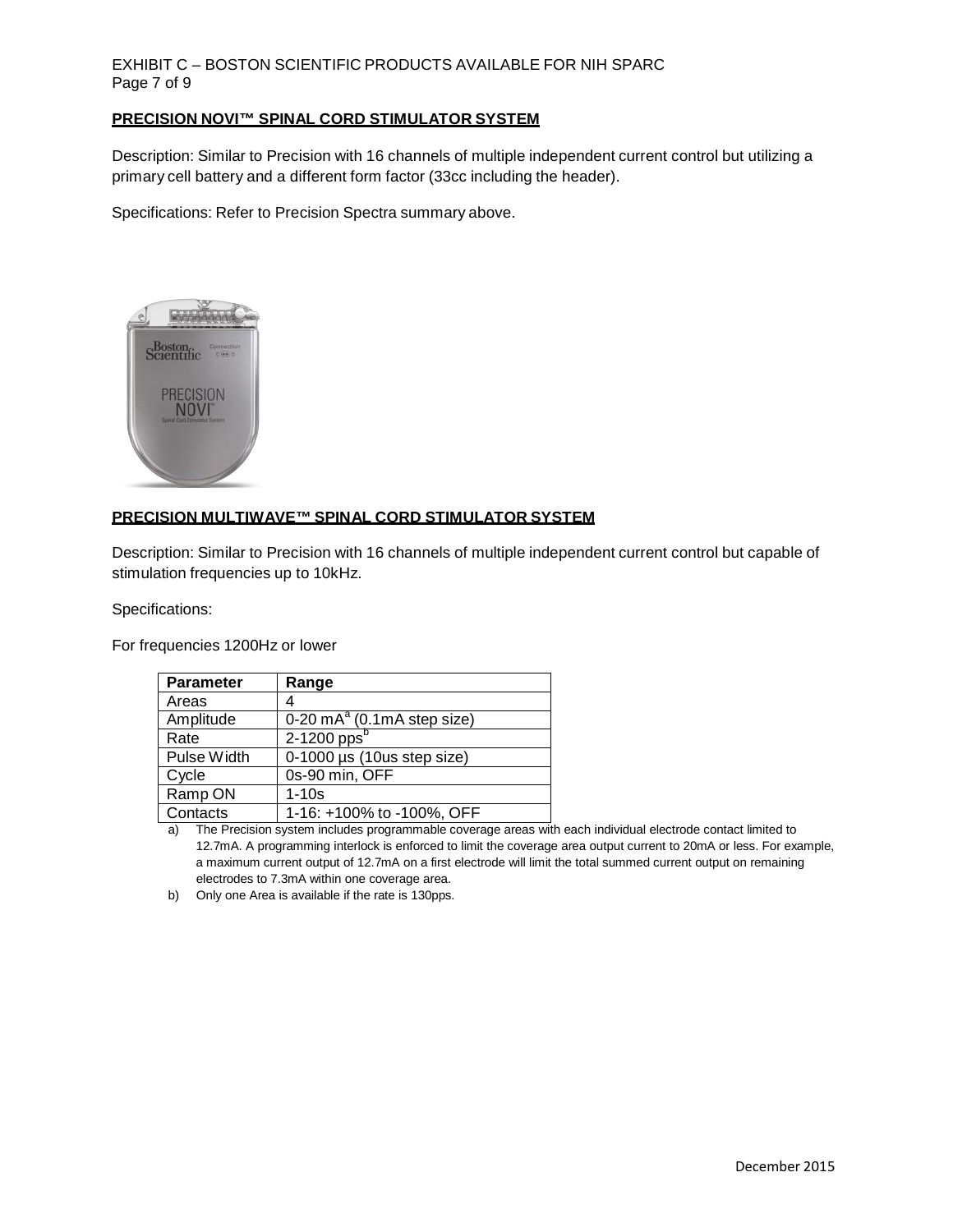# EXHIBIT C – BOSTON SCIENTIFIC PRODUCTS AVAILABLE FOR NIH SPARC Page 7 of 9

#### **PRECISION NOVI™ SPINAL CORD STIMULATOR SYSTEM**

Description: Similar to Precision with 16 channels of multiple independent current control but utilizing a primary cell battery and a different form factor (33cc including the header).

Specifications: Refer to Precision Spectra summary above.



# **PRECISION MULTIWAVE™ SPINAL CORD STIMULATOR SYSTEM**

Description: Similar to Precision with 16 channels of multiple independent current control but capable of stimulation frequencies up to 10kHz.

Specifications:

For frequencies 1200Hz or lower

| <b>Parameter</b> | Range                                            |
|------------------|--------------------------------------------------|
| Areas            |                                                  |
| Amplitude        | $\overline{0.20 \text{ mA}^a}$ (0.1mA step size) |
| Rate             | $2-1200$ pps <sup>b</sup>                        |
| Pulse Width      | $0-1000$ µs (10us step size)                     |
| Cycle            | 0s-90 min, OFF                                   |
| Ramp ON          | $1 - 10s$                                        |
| Contacts         | 1-16: +100% to -100%, OFF                        |

a) The Precision system includes programmable coverage areas with each individual electrode contact limited to 12.7mA. A programming interlock is enforced to limit the coverage area output current to 20mA or less. For example, a maximum current output of 12.7mA on a first electrode will limit the total summed current output on remaining electrodes to 7.3mA within one coverage area.

b) Only one Area is available if the rate is 130pps.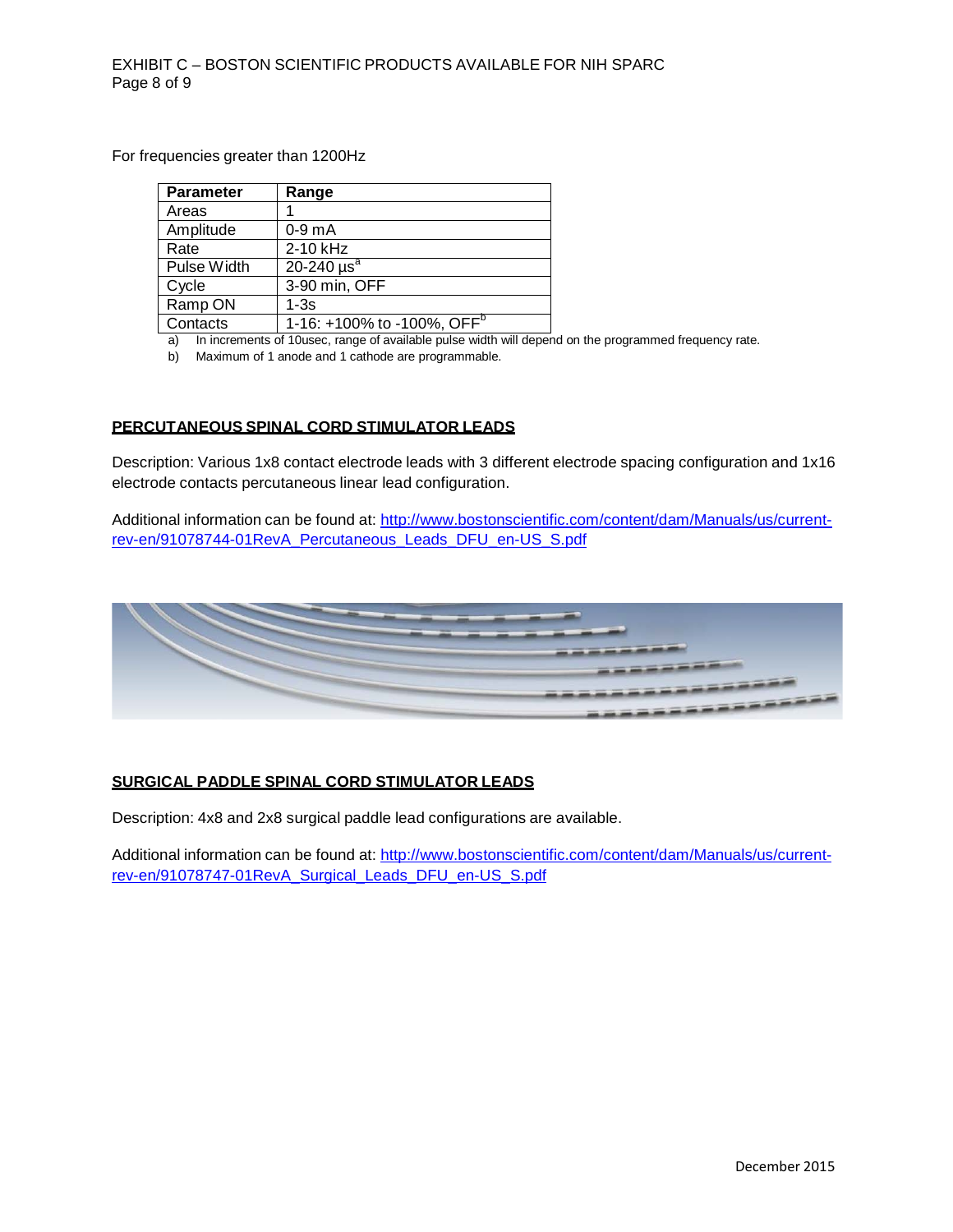For frequencies greater than 1200Hz

| <b>Parameter</b> | Range                                  |
|------------------|----------------------------------------|
| Areas            |                                        |
| Amplitude        | $0-9$ m $A$                            |
| Rate             | 2-10 kHz                               |
| Pulse Width      | 20-240 $\mu$ s <sup>a</sup>            |
| Cycle            | 3-90 min, OFF                          |
| Ramp ON          | $1-3s$                                 |
| Contacts         | 1-16: +100% to -100%, OFF <sup>b</sup> |
|                  |                                        |

a) In increments of 10usec, range of available pulse width will depend on the programmed frequency rate.

b) Maximum of 1 anode and 1 cathode are programmable.

## **PERCUTANEOUS SPINAL CORD STIMULATOR LEADS**

Description: Various 1x8 contact electrode leads with 3 different electrode spacing configuration and 1x16 electrode contacts percutaneous linear lead configuration.

Additional information can be found at: [http://www.bostonscientific.com/content/dam/Manuals/us/current](http://www.bostonscientific.com/content/dam/Manuals/us/current-rev-en/91078744-01RevA_Percutaneous_Leads_DFU_en-US_S.pdf)[rev-en/91078744-01RevA\\_Percutaneous\\_Leads\\_DFU\\_en-US\\_S.pdf](http://www.bostonscientific.com/content/dam/Manuals/us/current-rev-en/91078744-01RevA_Percutaneous_Leads_DFU_en-US_S.pdf)



#### **SURGICAL PADDLE SPINAL CORD STIMULATOR LEADS**

Description: 4x8 and 2x8 surgical paddle lead configurations are available.

Additional information can be found at: [http://www.bostonscientific.com/content/dam/Manuals/us/current](http://www.bostonscientific.com/content/dam/Manuals/us/current-rev-en/91078747-01RevA_Surgical_Leads_DFU_en-US_S.pdf)[rev-en/91078747-01RevA\\_Surgical\\_Leads\\_DFU\\_en-US\\_S.pdf](http://www.bostonscientific.com/content/dam/Manuals/us/current-rev-en/91078747-01RevA_Surgical_Leads_DFU_en-US_S.pdf)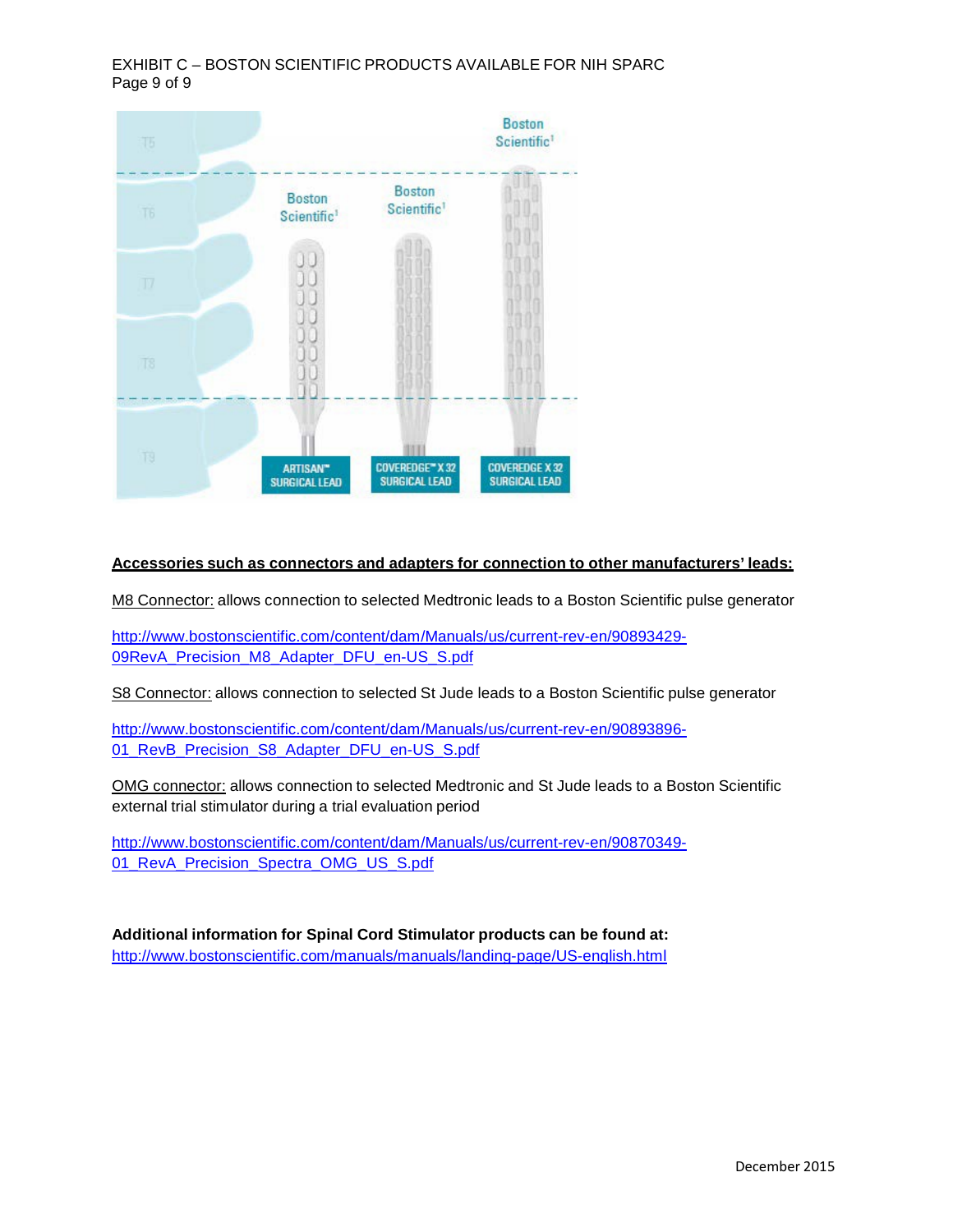EXHIBIT C – BOSTON SCIENTIFIC PRODUCTS AVAILABLE FOR NIH SPARC Page 9 of 9



### **Accessories such as connectors and adapters for connection to other manufacturers' leads:**

M8 Connector: allows connection to selected Medtronic leads to a Boston Scientific pulse generator

[http://www.bostonscientific.com/content/dam/Manuals/us/current-rev-en/90893429-](http://www.bostonscientific.com/content/dam/Manuals/us/current-rev-en/90893429-09RevA_Precision_M8_Adapter_DFU_en-US_S.pdf) [09RevA\\_Precision\\_M8\\_Adapter\\_DFU\\_en-US\\_S.pdf](http://www.bostonscientific.com/content/dam/Manuals/us/current-rev-en/90893429-09RevA_Precision_M8_Adapter_DFU_en-US_S.pdf)

S8 Connector: allows connection to selected St Jude leads to a Boston Scientific pulse generator

[http://www.bostonscientific.com/content/dam/Manuals/us/current-rev-en/90893896-](http://www.bostonscientific.com/content/dam/Manuals/us/current-rev-en/90893896-01_RevB_Precision_S8_Adapter_DFU_en-US_S.pdf) 01 RevB Precision S8 Adapter DFU en-US S.pdf

OMG connector: allows connection to selected Medtronic and St Jude leads to a Boston Scientific external trial stimulator during a trial evaluation period

[http://www.bostonscientific.com/content/dam/Manuals/us/current-rev-en/90870349-](http://www.bostonscientific.com/content/dam/Manuals/us/current-rev-en/90870349-01_RevA_Precision_Spectra_OMG_US_S.pdf) [01\\_RevA\\_Precision\\_Spectra\\_OMG\\_US\\_S.pdf](http://www.bostonscientific.com/content/dam/Manuals/us/current-rev-en/90870349-01_RevA_Precision_Spectra_OMG_US_S.pdf)

**Additional information for Spinal Cord Stimulator products can be found at:** <http://www.bostonscientific.com/manuals/manuals/landing-page/US-english.html>